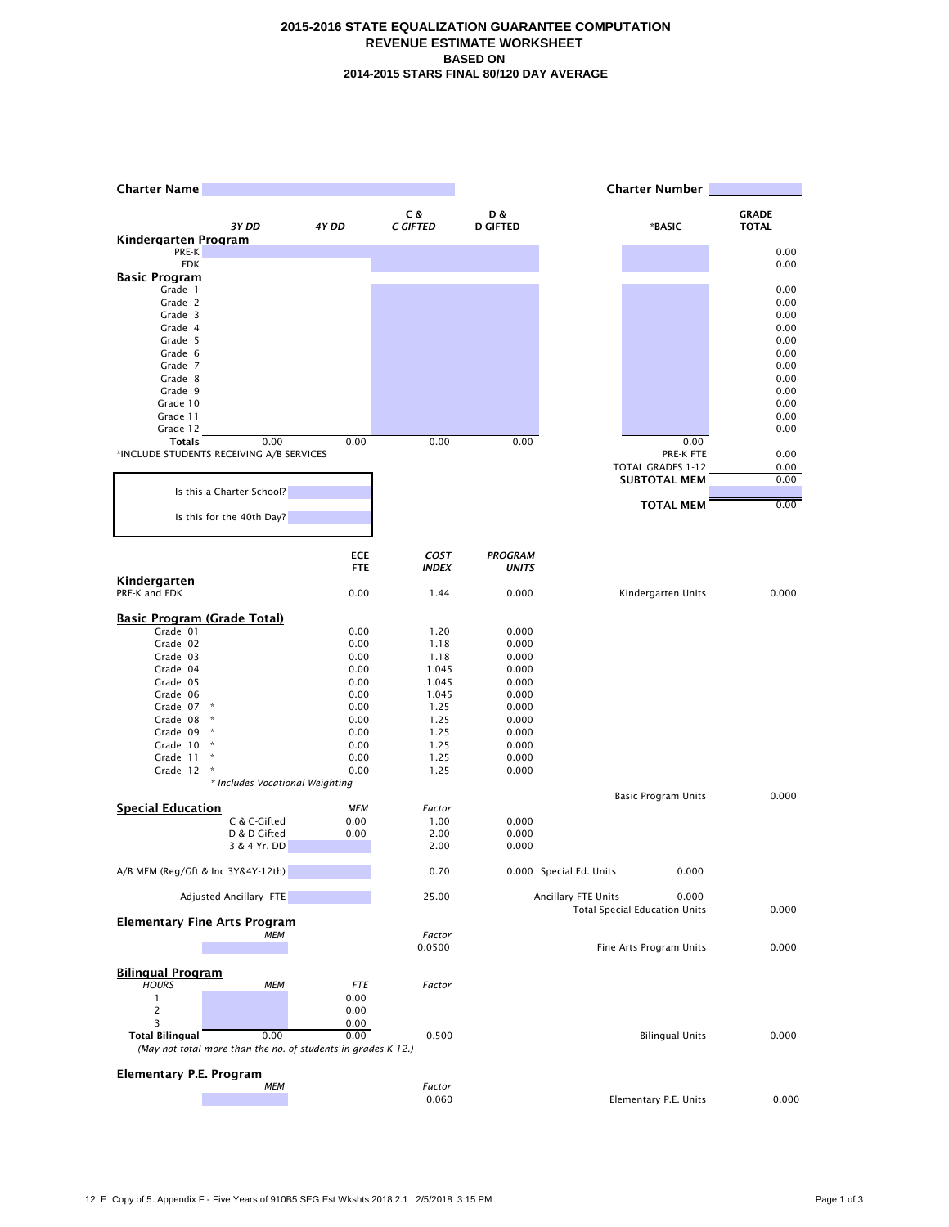## **2015-2016 STATE EQUALIZATION GUARANTEE COMPUTATION REVENUE ESTIMATE WORKSHEET BASED ON 2014-2015 STARS FINAL 80/120 DAY AVERAGE**

| <b>Charter Name</b>                |                                                               |                    |                  |                 |                         | <b>Charter Number</b>                         |              |
|------------------------------------|---------------------------------------------------------------|--------------------|------------------|-----------------|-------------------------|-----------------------------------------------|--------------|
|                                    |                                                               |                    | C &              | D &             |                         |                                               | <b>GRADE</b> |
|                                    | 3Y DD                                                         | 4Y DD              | <b>C-GIFTED</b>  | <b>D-GIFTED</b> |                         | *BASIC                                        | <b>TOTAL</b> |
| Kindergarten Program<br>PRE-K      |                                                               |                    |                  |                 |                         |                                               | 0.00         |
| <b>FDK</b>                         |                                                               |                    |                  |                 |                         |                                               | 0.00         |
| <b>Basic Program</b>               |                                                               |                    |                  |                 |                         |                                               |              |
| Grade 1<br>Grade 2                 |                                                               |                    |                  |                 |                         |                                               | 0.00<br>0.00 |
| Grade 3                            |                                                               |                    |                  |                 |                         |                                               | 0.00         |
| Grade 4                            |                                                               |                    |                  |                 |                         |                                               | 0.00         |
| Grade 5                            |                                                               |                    |                  |                 |                         |                                               | 0.00         |
| Grade 6<br>Grade 7                 |                                                               |                    |                  |                 |                         |                                               | 0.00<br>0.00 |
| Grade 8                            |                                                               |                    |                  |                 |                         |                                               | 0.00         |
| Grade 9                            |                                                               |                    |                  |                 |                         |                                               | 0.00         |
| Grade 10                           |                                                               |                    |                  |                 |                         |                                               | 0.00         |
| Grade 11<br>Grade 12               |                                                               |                    |                  |                 |                         |                                               | 0.00<br>0.00 |
| <b>Totals</b>                      | 0.00                                                          | 0.00               | 0.00             | 0.00            |                         | 0.00                                          |              |
|                                    | *INCLUDE STUDENTS RECEIVING A/B SERVICES                      |                    |                  |                 |                         | PRE-K FTE                                     | 0.00         |
|                                    |                                                               |                    |                  |                 |                         | TOTAL GRADES 1-12                             | 0.00         |
|                                    | Is this a Charter School?                                     |                    |                  |                 |                         | <b>SUBTOTAL MEM</b>                           | 0.00         |
|                                    |                                                               |                    |                  |                 |                         | <b>TOTAL MEM</b>                              | 0.00         |
|                                    | Is this for the 40th Day?                                     |                    |                  |                 |                         |                                               |              |
|                                    |                                                               | <b>ECE</b>         | <b>COST</b>      | <b>PROGRAM</b>  |                         |                                               |              |
|                                    |                                                               | <b>FTE</b>         | <b>INDEX</b>     | <b>UNITS</b>    |                         |                                               |              |
| Kindergarten<br>PRE-K and FDK      |                                                               | 0.00               | 1.44             | 0.000           |                         | Kindergarten Units                            | 0.000        |
| <b>Basic Program (Grade Total)</b> |                                                               |                    |                  |                 |                         |                                               |              |
| Grade 01                           |                                                               | 0.00               | 1.20             | 0.000           |                         |                                               |              |
| Grade 02                           |                                                               | 0.00               | 1.18             | 0.000           |                         |                                               |              |
| Grade 03<br>Grade 04               |                                                               | 0.00<br>0.00       | 1.18<br>1.045    | 0.000<br>0.000  |                         |                                               |              |
| Grade 05                           |                                                               | 0.00               | 1.045            | 0.000           |                         |                                               |              |
| Grade 06                           |                                                               | 0.00               | 1.045            | 0.000           |                         |                                               |              |
| Grade 07                           | $\,$ $\,$ $\,$<br>$\star$                                     | 0.00               | 1.25             | 0.000           |                         |                                               |              |
| Grade 08<br>Grade 09               | $\,$ $\,$ $\,$                                                | 0.00<br>0.00       | 1.25<br>1.25     | 0.000<br>0.000  |                         |                                               |              |
| Grade 10                           | $\boldsymbol{\hat{\pi}}$                                      | 0.00               | 1.25             | 0.000           |                         |                                               |              |
| Grade 11                           |                                                               | 0.00               | 1.25             | 0.000           |                         |                                               |              |
| Grade 12                           | $\,$ $\,$                                                     | 0.00               | 1.25             | 0.000           |                         |                                               |              |
|                                    | * Includes Vocational Weighting                               |                    |                  |                 |                         | <b>Basic Program Units</b>                    | 0.000        |
| <b>Special Education</b>           |                                                               | <b>MEM</b>         | Factor           |                 |                         |                                               |              |
|                                    | C & C-Gifted                                                  | 0.00               | 1.00             | 0.000           |                         |                                               |              |
|                                    | D & D-Gifted<br>3 & 4 Yr. DD                                  | 0.00               | 2.00<br>2.00     | 0.000<br>0.000  |                         |                                               |              |
|                                    |                                                               |                    |                  |                 |                         |                                               |              |
| A/B MEM (Reg/Gft & Inc 3Y&4Y-12th) |                                                               |                    | 0.70             |                 | 0.000 Special Ed. Units | 0.000                                         |              |
|                                    | Adjusted Ancillary FTE                                        |                    | 25.00            |                 | Ancillary FTE Units     | 0.000<br><b>Total Special Education Units</b> | 0.000        |
|                                    | <b>Elementary Fine Arts Program</b>                           |                    |                  |                 |                         |                                               |              |
|                                    | <b>MEM</b>                                                    |                    | Factor<br>0.0500 |                 |                         | Fine Arts Program Units                       | 0.000        |
|                                    |                                                               |                    |                  |                 |                         |                                               |              |
| <b>Bilingual Program</b>           |                                                               |                    |                  |                 |                         |                                               |              |
| <b>HOURS</b><br>$\mathbf{1}$       | <b>MEM</b>                                                    | <b>FTE</b><br>0.00 | Factor           |                 |                         |                                               |              |
|                                    |                                                               | 0.00               |                  |                 |                         |                                               |              |
| 3                                  |                                                               | 0.00               |                  |                 |                         |                                               |              |
| <b>Total Bilingual</b>             | 0.00                                                          | 0.00               | 0.500            |                 |                         | <b>Bilingual Units</b>                        | 0.000        |
|                                    | (May not total more than the no. of students in grades K-12.) |                    |                  |                 |                         |                                               |              |
| Elementary P.E. Program            |                                                               |                    |                  |                 |                         |                                               |              |
|                                    | <b>MEM</b>                                                    |                    | Factor           |                 |                         |                                               |              |
|                                    |                                                               |                    | 0.060            |                 |                         | Elementary P.E. Units                         | 0.000        |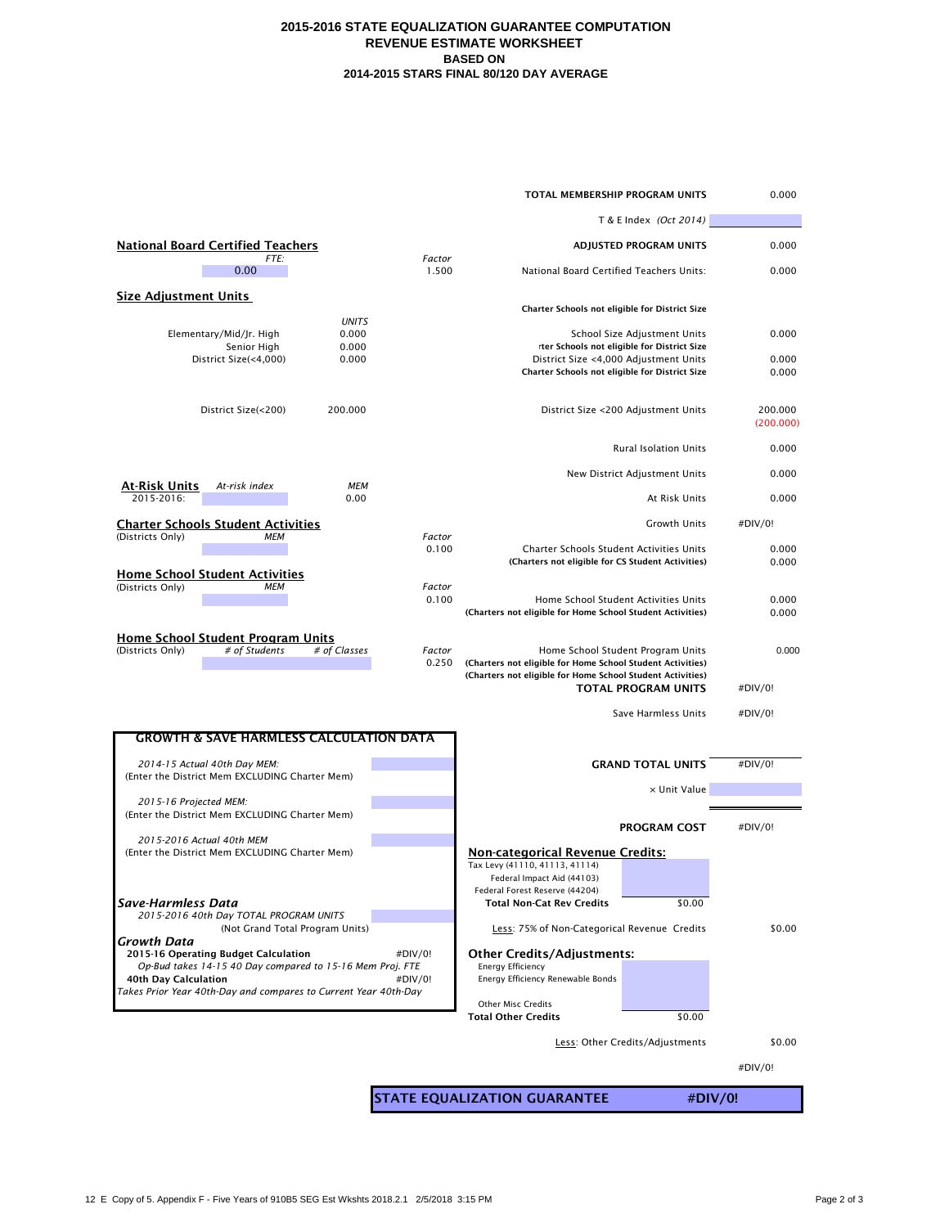## **2015-2016 STATE EQUALIZATION GUARANTEE COMPUTATION REVENUE ESTIMATE WORKSHEET BASED ON 2014-2015 STARS FINAL 80/120 DAY AVERAGE**

|                                                                                                   |                                                        | TOTAL MEMBERSHIP PROGRAM UNITS                                                                                           |                                                                             | 0.000                |  |  |
|---------------------------------------------------------------------------------------------------|--------------------------------------------------------|--------------------------------------------------------------------------------------------------------------------------|-----------------------------------------------------------------------------|----------------------|--|--|
|                                                                                                   |                                                        | T & E Index (Oct 2014)                                                                                                   |                                                                             |                      |  |  |
| <b>National Board Certified Teachers</b>                                                          |                                                        | <b>ADJUSTED PROGRAM UNITS</b>                                                                                            |                                                                             | 0.000                |  |  |
| FTE:<br>0.00                                                                                      | Factor<br>1.500                                        | National Board Certified Teachers Units:                                                                                 |                                                                             | 0.000                |  |  |
| <b>Size Adiustment Units</b>                                                                      |                                                        |                                                                                                                          |                                                                             |                      |  |  |
| <b>UNITS</b>                                                                                      |                                                        | Charter Schools not eligible for District Size                                                                           |                                                                             |                      |  |  |
| 0.000<br>Elementary/Mid/Jr. High<br>Senior High<br>0.000                                          |                                                        |                                                                                                                          | School Size Adjustment Units<br>rter Schools not eligible for District Size | 0.000                |  |  |
| District Size(<4,000)<br>0.000                                                                    |                                                        | District Size <4,000 Adjustment Units                                                                                    |                                                                             | 0.000                |  |  |
|                                                                                                   |                                                        | Charter Schools not eligible for District Size                                                                           |                                                                             | 0.000                |  |  |
| 200.000<br>District Size(<200)                                                                    |                                                        |                                                                                                                          | District Size <200 Adjustment Units                                         | 200.000<br>(200.000) |  |  |
|                                                                                                   |                                                        |                                                                                                                          | <b>Rural Isolation Units</b>                                                | 0.000                |  |  |
| At-Risk Units<br>At-risk index<br><b>MEM</b>                                                      |                                                        |                                                                                                                          | New District Adjustment Units                                               | 0.000                |  |  |
| 2015-2016:<br>0.00                                                                                |                                                        |                                                                                                                          | At Risk Units                                                               | 0.000                |  |  |
| <b>Charter Schools Student Activities</b><br><b>MEM</b>                                           | Factor                                                 |                                                                                                                          | Growth Units                                                                | #DIV/0!              |  |  |
| (Districts Only)                                                                                  | 0.100                                                  | Charter Schools Student Activities Units                                                                                 |                                                                             | 0.000                |  |  |
| <b>Home School Student Activities</b>                                                             |                                                        | (Charters not eligible for CS Student Activities)                                                                        |                                                                             | 0.000                |  |  |
| <b>MEM</b><br>(Districts Only)                                                                    | Factor<br>0.100                                        | Home School Student Activities Units<br>(Charters not eligible for Home School Student Activities)                       |                                                                             | 0.000<br>0.000       |  |  |
| Home School Student Program Units                                                                 |                                                        |                                                                                                                          |                                                                             |                      |  |  |
| (Districts Only)<br># of Students<br># of Classes                                                 | Factor<br>0.250                                        | (Charters not eligible for Home School Student Activities)<br>(Charters not eligible for Home School Student Activities) | Home School Student Program Units<br><b>TOTAL PROGRAM UNITS</b>             | 0.000<br>#DIV/0!     |  |  |
|                                                                                                   |                                                        |                                                                                                                          | Save Harmless Units                                                         | #DIV/0!              |  |  |
| <b>GROWTH &amp; SAVE HARMLESS CALCULATION DATA</b>                                                |                                                        |                                                                                                                          |                                                                             |                      |  |  |
|                                                                                                   |                                                        |                                                                                                                          |                                                                             |                      |  |  |
| 2014-15 Actual 40th Day MEM:<br>(Enter the District Mem EXCLUDING Charter Mem)                    |                                                        |                                                                                                                          | <b>GRAND TOTAL UNITS</b>                                                    | #DIV/0!              |  |  |
| 2015-16 Projected MEM:                                                                            |                                                        |                                                                                                                          | x Unit Value                                                                |                      |  |  |
| (Enter the District Mem EXCLUDING Charter Mem)                                                    |                                                        |                                                                                                                          | <b>PROGRAM COST</b>                                                         | #DIV/0!              |  |  |
| 2015-2016 Actual 40th MEM                                                                         |                                                        |                                                                                                                          |                                                                             |                      |  |  |
| (Enter the District Mem EXCLUDING Charter Mem)                                                    |                                                        | <u>Non-categorical Revenue Credits:</u><br>Tax Levy (41110, 41113, 41114)<br>Federal Impact Aid (44103)                  |                                                                             |                      |  |  |
|                                                                                                   |                                                        | Federal Forest Reserve (44204)                                                                                           |                                                                             |                      |  |  |
| Save-Harmless Data<br>2015-2016 40th Day TOTAL PROGRAM UNITS                                      |                                                        | <b>Total Non-Cat Rev Credits</b>                                                                                         | \$0.00                                                                      |                      |  |  |
| (Not Grand Total Program Units)<br><b>Growth Data</b>                                             | #DIV/0!                                                | Less: 75% of Non-Categorical Revenue Credits                                                                             |                                                                             | \$0.00               |  |  |
| 2015-16 Operating Budget Calculation<br>Op-Bud takes 14-15 40 Day compared to 15-16 Mem Proj. FTE | <b>Other Credits/Adjustments:</b><br>Energy Efficiency |                                                                                                                          |                                                                             |                      |  |  |
| 40th Day Calculation<br>Takes Prior Year 40th-Day and compares to Current Year 40th-Day           | Energy Efficiency Renewable Bonds                      |                                                                                                                          |                                                                             |                      |  |  |
|                                                                                                   |                                                        | <b>Other Misc Credits</b>                                                                                                |                                                                             |                      |  |  |
|                                                                                                   |                                                        | <b>Total Other Credits</b>                                                                                               | \$0.00                                                                      |                      |  |  |
|                                                                                                   |                                                        |                                                                                                                          | Less: Other Credits/Adjustments                                             | \$0.00               |  |  |
|                                                                                                   |                                                        |                                                                                                                          |                                                                             |                      |  |  |
| <b>STATE EQUALIZATION GUARANTEE</b><br>#DIV/0!                                                    |                                                        |                                                                                                                          |                                                                             |                      |  |  |